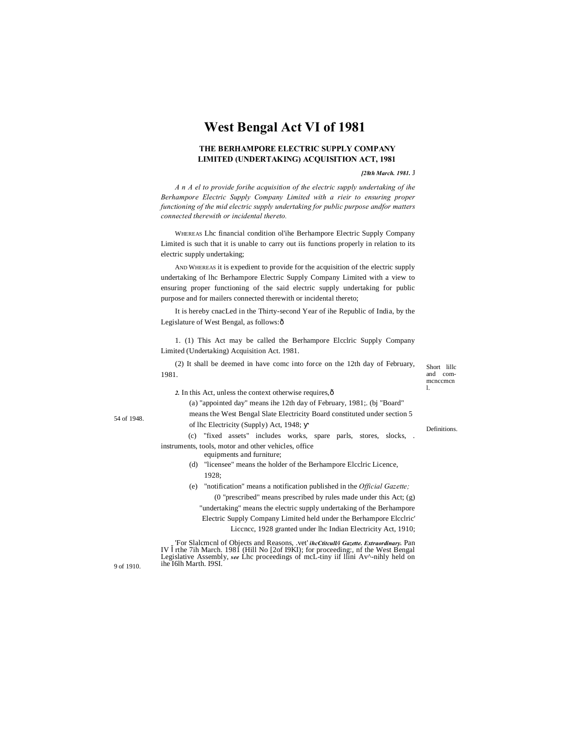# **West Bengal Act VI of 1981**

# **THE BERHAMPORE ELECTRIC SUPPLY COMPANY LIMITED (UNDERTAKING) ACQUISITION ACT, 1981**

#### *[28th March. 1981.* J

*A n A el to provide forihe acquisition of the electric supply undertaking of ihe Berhampore Electric Supply Company Limited with a rieir to ensuring proper functioning of the mid electric supply undertaking for public purpose andfor matters connected therewith or incidental thereto.*

WHEREAS Lhc financial condition ol'ihe Berhampore Electric Supply Company Limited is such that it is unable to carry out iis functions properly in relation to its electric supply undertaking;

AND WHEREAS it is expedient to provide for the acquisition of the electric supply undertaking of lhc Berhampore Electric Supply Company Limited with a view to ensuring proper functioning of the said electric supply undertaking for public purpose and for mailers connected therewith or incidental thereto;

It is hereby cnacLed in the Thirty-second Year of ihe Republic of India, by the Legislature of West Bengal, as follows: ô

1. (1) This Act may be called the Berhampore Elcclric Supply Company Limited (Undertaking) Acquisition Act. 1981.

(2) It shall be deemed in have comc into force on the 12th day of February, 1981.

*2.* In this Act, unless the context otherwise requires,—

(a) "appointed day" means ihe 12th day of February, 1981;. (bj "Board"

means the West Bengal Slate Electricity Board constituted under section 5 of lhc Electricity (Supply) Act, 1948;

(c) "fixed assets" includes works, spare parls, stores, slocks, . instruments, tools, motor and other vehicles, office

equipments and furniture;

- (d) "licensee" means the holder of the Berhampore Elcclric Licence, 1928;
- (e) "notification" means a notification published in the *Official Gazette;* (0 "prescribed" means prescribed by rules made under this Act; (g)
	- "undertaking" means the electric supply undertaking of the Berhampore
	- Electric Supply Company Limited held under the Berhampore Elcclric'

Liccncc, 1928 granted under lhc Indian Electricity Act, 1910;

'For Slalcmcnl of Objects and Reasons, .vet' *ihcCtitcull/i Gazette. Extraordinary.* Pan IV rthe 7ih March. 1981 (Hill No [2of I9KI); for proceeding:, nf the West Bengal Legislative Assembly, *see* Lhc proceedings of mcL-tiny iif llini Av^-nihly held on ihe I6lh Marth. I9SI.

9 of 1910.

Short lillc and commcnccmcn l.

Definitions.

54 of 1948.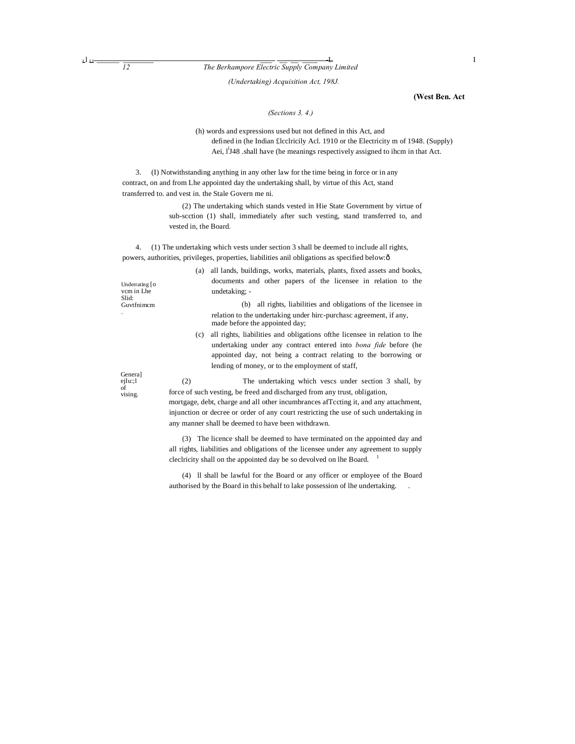$L^{\text{L}}$  **Li**  $\frac{L}{12}$  **The Berhampore Electric Supply Company Limited** 

*(Undertaking) Acquisition Act, 198J.*

## **(West Ben. Act**

*(Sections 3. 4.)*

(h) words and expressions used but not defined in this Act, and defined in (he Indian £lcclricily Acl. 1910 or the Electricity m of 1948. (Supply) Aei, l<sup>1</sup>J48 .shall have (he meanings respectively assigned to ihcm in that Act.

3. (I) Notwithstanding anything in any other law for the time being in force or in any contract, on and from Lhe appointed day the undertaking shall, by virtue of this Act, stand transferred to. and vest in. the Stale Govern me ni.

> (2) The undertaking which stands vested in Hie State Government by virtue of sub-scction (1) shall, immediately after such vesting, stand transferred to, and vested in, the Board.

4. (1) The undertaking which vests under section 3 shall be deemed to include all rights, powers, authorities, privileges, properties, liabilities anil obligations as specified below: ô

| Underrating $\lceil$ O<br>vcm in Lhe<br>Slid:<br>Guvtfnimem |                                                                                       |                                                                                                      |
|-------------------------------------------------------------|---------------------------------------------------------------------------------------|------------------------------------------------------------------------------------------------------|
|                                                             | (a)                                                                                   | all lands, buildings, works, materials, plants, fixed assets and books,                              |
|                                                             |                                                                                       | documents and other papers of the licensee in relation to the                                        |
|                                                             |                                                                                       | undetaking: -                                                                                        |
|                                                             |                                                                                       | all rights, liabilities and obligations of the licensee in<br>(b)                                    |
|                                                             |                                                                                       | relation to the undertaking under hirc-purchase agreement, if any,<br>made before the appointed day; |
|                                                             | (c)                                                                                   | all rights, liabilities and obligations of the licensee in relation to the                           |
|                                                             |                                                                                       | undertaking under any contract entered into <i>bona fide</i> before (he                              |
|                                                             |                                                                                       | appointed day, not being a contract relating to the borrowing or                                     |
|                                                             |                                                                                       | lending of money, or to the employment of staff,                                                     |
| General                                                     |                                                                                       |                                                                                                      |
| ejIu:;1                                                     | (2)                                                                                   | The undertaking which vescs under section 3 shall, by                                                |
| of<br>vising.                                               | force of such vesting, be freed and discharged from any trust, obligation,            |                                                                                                      |
|                                                             | mortgage, debt, charge and all other incumbrances affecting it, and any attachment,   |                                                                                                      |
|                                                             | injunction or decree or order of any court restricting the use of such undertaking in |                                                                                                      |

any manner shall be deemed to have been withdrawn.

(3) The licence shall be deemed to have terminated on the appointed day and all rights, liabilities and obligations of the licensee under any agreement to supply cleclricity shall on the appointed day be so devolved on lhe Board.  $1$ 

(4) ll shall be lawful for the Board or any officer or employee of the Board authorised by the Board in this behalf to lake possession of lhe undertaking. .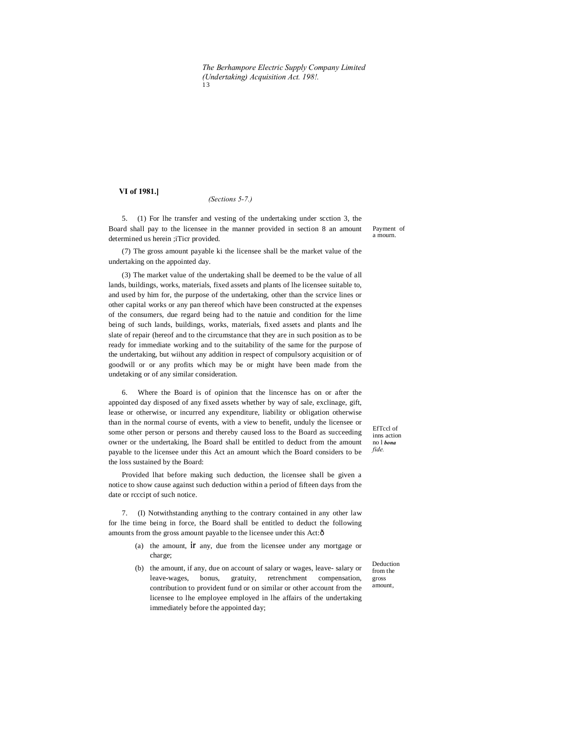*The Berhampore Electric Supply Company Limited (Undertaking) Acquisition Act. 198!.* 13

# **VI of 1981.]**

#### *(Sections 5-7.)*

5. (1) For lhe transfer and vesting of the undertaking under scction 3, the Board shall pay to the licensee in the manner provided in section 8 an amount determined us herein ;iTicr provided.

(7) The gross amount payable ki the licensee shall be the market value of the undertaking on the appointed day.

(3) The market value of the undertaking shall be deemed to be the value of all lands, buildings, works, materials, fixed assets and plants of lhe licensee suitable to, and used by him for, the purpose of the undertaking, other than the scrvice lines or other capital works or any pan thereof which have been constructed at the expenses of the consumers, due regard being had to the natuie and condition for the lime being of such lands, buildings, works, materials, fixed assets and plants and lhe slate of repair (hereof and to the circumstance that they are in such position as to be ready for immediate working and to the suitability of the same for the purpose of the undertaking, but wiihout any addition in respect of compulsory acquisition or of goodwill or or any profits which may be or might have been made from the undetaking or of any similar consideration.

6. Where the Board is of opinion that the lincensce has on or after the appointed day disposed of any fixed assets whether by way of sale, exclinage, gift, lease or otherwise, or incurred any expenditure, liability or obligation otherwise than in the normal course of events, with a view to benefit, unduly the licensee or some other person or persons and thereby caused loss to the Board as succeeding owner or the undertaking, lhe Board shall be entitled to deduct from the amount payable to the licensee under this Act an amount which the Board considers to be the loss sustained by the Board:

Provided lhat before making such deduction, the licensee shall be given a notice to show cause against such deduction within a period of fifteen days from the date or rcccipt of such notice.

7. (I) Notwithstanding anything to the contrary contained in any other law for lhe time being in force, the Board shall be entitled to deduct the following amounts from the gross amount payable to the licensee under this Act:ô

- (a) the amount, **ir** any, due from the licensee under any mortgage or charge;
- (b) the amount, if any, due on account of salary or wages, leave- salary or leave-wages, bonus, gratuity, retrenchment compensation, contribution to provident fund or on similar or other account from the licensee to lhe employee employed in lhe affairs of the undertaking immediately before the appointed day;

EfTccl of inns action no l *bona fide.*

Deduction from the gross amount,

Payment of a mourn.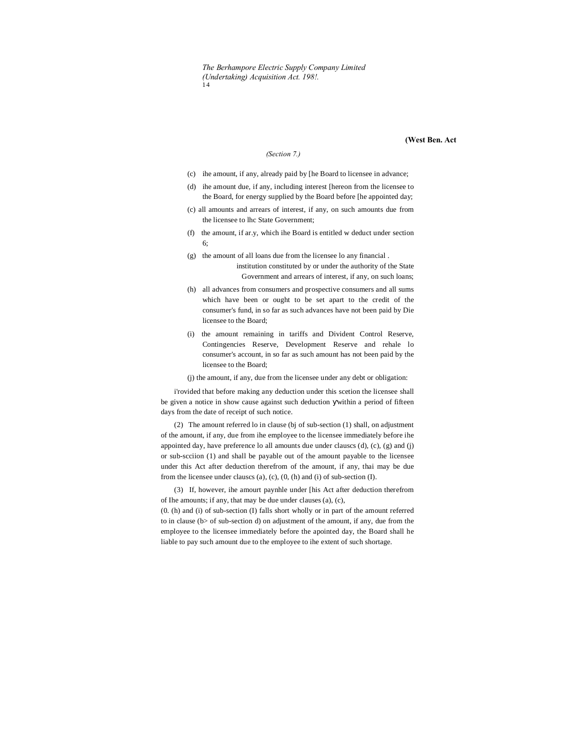# **(West Ben. Act**

## *(Section 7.)*

- (c) ihe amount, if any, already paid by [he Board to licensee in advance;
- (d) ihe amount due, if any, including interest [hereon from the licensee to the Board, for energy supplied by the Board before [he appointed day;
- (c) all amounts and arrears of interest, if any, on such amounts due from the licensee to lhc State Government;
- (f) the amount, if ar.y, which ihe Board is entitled w deduct under section 6;
- (g) the amount of all loans due from the licensee lo any financial . institution constituted by or under the authority of the State Government and arrears of interest, if any, on such loans;
- (h) all advances from consumers and prospective consumers and all sums which have been or ought to be set apart to the credit of the consumer's fund, in so far as such advances have not been paid by Die licensee to the Board;
- (i) the amount remaining in tariffs and Divident Control Reserve, Contingencies Reserve, Development Reserve and rehale lo consumer's account, in so far as such amount has not been paid by the licensee to the Board;
- (j) the amount, if any, due from the licensee under any debt or obligation:

i'rovided that before making any deduction under this scetion the licensee shall be given a notice in show cause against such deduction within a period of fifteen days from the date of receipt of such notice.

(2) The amount referred lo in clause (bj of sub-section (1) shall, on adjustment of the amount, if any, due from ihe employee to the licensee immediately before ihe appointed day, have preference lo all amounts due under clauscs (d), (c), (g) and (j) or sub-scciion (1) and shall be payable out of the amount payable to the licensee under this Act after deduction therefrom of the amount, if any, thai may be due from the licensee under clauses (a), (c), (0, (h) and (i) of sub-section  $(I)$ .

(3) If, however, ihe amourt paynhle under [his Act after deduction therefrom of Ihe amounts; if any, that may be due under clauses (a), (c),

(0. (h) and (i) of sub-section (I) falls short wholly or in part of the amount referred to in clause (b> of sub-section d) on adjustment of the amount, if any, due from the employee to the licensee immediately before the apointed day, the Board shall he liable to pay such amount due to the employee to ihe extent of such shortage.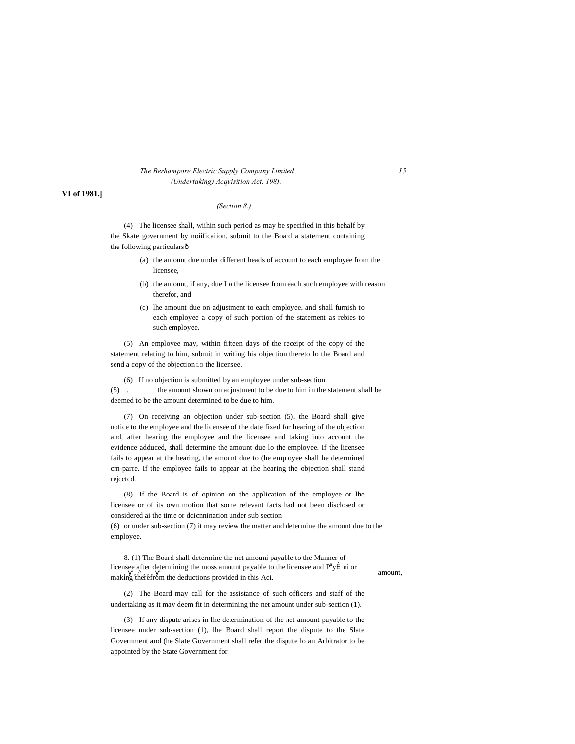## *The Berhampore Electric Supply Company Limited L5 (Undertaking) Acquisition Act. 198).*

# **VI of 1981.]**

## *(Section 8.)*

(4) The licensee shall, wiihin such period as may be specified in this behalf by the Skate government by noiificaiion, submit to the Board a statement containing the following particularsô

- (a) the amount due under different heads of account to each employee from the licensee,
- (b) the amount, if any, due Lo the licensee from each such employee with reason therefor, and
- (c) lhe amount due on adjustment to each employee, and shall furnish to each employee a copy of such portion of the statement as rebies to such employee.

(5) An employee may, within fifteen days of the receipt of the copy of the statement relating to him, submit in writing his objection thereto lo the Board and send a copy of the objection LO the licensee.

(6) If no objection is submitted by an employee under sub-section (5) . the amount shown on adjustment to be due to him in the statement shall be deemed to be the amount determined to be due to him.

(7) On receiving an objection under sub-section (5). the Board shall give notice to the employee and the licensee of the date fixed for hearing of the objection and, after hearing the employee and the licensee and taking into account the evidence adduced, shall determine the amount due lo the employee. If the licensee fails to appear at the hearing, the amount due to (he employee shall he determined cm-parre. If the employee fails to appear at (he hearing the objection shall stand rejcctcd.

(8) If the Board is of opinion on the application of the employee or lhe licensee or of its own motion that some relevant facts had not been disclosed or considered ai the time or dcicnnination under sub section

(6) or under sub-section (7) it may review the matter and determine the amount due to the employee.

8. (1) The Board shall determine the net amouni payable to the Manner of licensee after determining the moss amount payable to the licensee and  $P^a y \hat{I}$  ni or amount, making therefrom the deductions provided in this Aci.

(2) The Board may call for the assistance of such officers and staff of the undertaking as it may deem fit in determining the net amount under sub-section (1).

(3) If any dispute arises in lhe determination of the net amount payable to the licensee under sub-section (1), lhe Board shall report the dispute to the Slate Government and (he Slate Government shall refer the dispute lo an Arbitrator to be appointed by the State Government for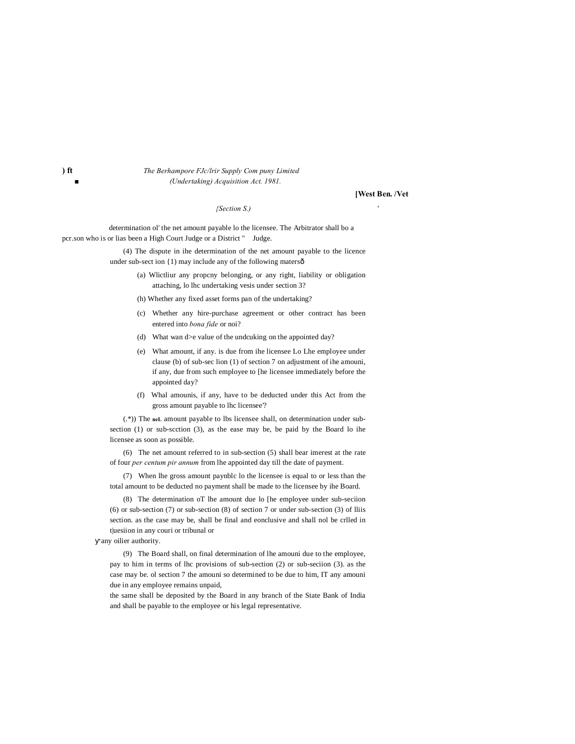## **) ft** *The Berhampore FJc/lrir Supply Com puny Limited ■ (Undertaking) Acquisition Act. 1981.*

### **[West Ben. /Vet**

### *{Section S.) '*

determination ol' the net amount payable lo the licensee. The Arbitrator shall bo a pcr.son who is or lias been a High Court Judge or a District " Judge.

> (4) The dispute in ihe determination of the net amount payable to the licence under sub-sect ion {1) may include any of the following matersô

- (a) Wlictliur any propcny belonging, or any right, liability or obligation attaching, lo lhc undertaking vesis under section 3?
- (h) Whether any fixed asset forms pan of the undertaking?
- (c) Whether any hire-purchase agreement or other contract has been entered into *bona fide* or noi?
- (d) What wan d>e value of the undcuking on the appointed day?
- (e) What amount, if any. is due from ihe licensee Lo Lhe employee under clause (b) of sub-sec lion (1) of section 7 on adjustment of ihe amouni, if any, due from such employee to [he licensee immediately before the appointed day?
- (f) Whal amounis, if any, have to be deducted under this Act from the gross amount payable to lhc licensee'?

(.\*)) The **neL** amount payable to lbs licensee shall, on determination under subsection (1) or sub-scction (3), as the ease may be, be paid by the Board lo ihe licensee as soon as possible.

(6) The net amount referred to in sub-section (5) shall bear imerest at the rate of four *per centum pir annum* from lhe appointed day till the date of payment.

(7) When lhe gross amount paynblc lo the licensee is equal to or less than the total amount to be deducted no payment shall be made to the licensee by ihe Board.

(8) The determination oT lhe amount due lo [he employee under sub-seciion (6) or sub-section (7) or sub-section (8) of section 7 or under sub-section (3) of lliis section. as the case may be, shall be final and eonclusive and shall nol be crlled in t|uesiion in any couri or tribunal or

any oilier authority.

(9) The Board shall, on final determination of lhe amouni due to the employee, pay to him in terms of lhc provisions of sub-section (2) or sub-seciion (3). as the case may be. ol section 7 the amouni so determined to be due to him, IT any amouni due in any employee remains unpaid,

the same shall be deposited by the Board in any branch of the State Bank of India and shall be payable to the employee or his legal representative.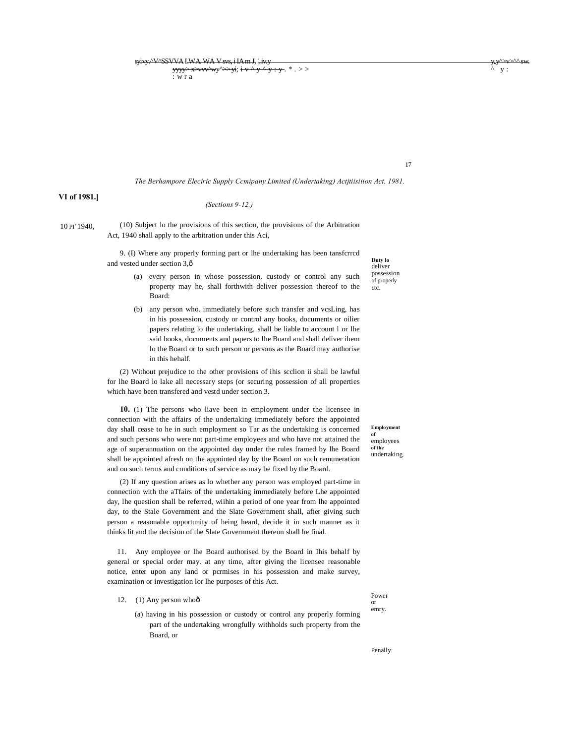$s$ yivy.^V^SSVVA I.WA. WA V svs, i IA m J, ', iv.y yvy $\sim$ yv $\sim$ yv $\sim$ yv $\sim$ yv $\sim$ yv $\sim$ v $\sim$ o sw. yvy $\sim$ v $\sim$ yyyy> x>vvv^wy^>> yi; i v ^ y ^ y : y . \* . > > ^ y : : w r a

*The Berhampore Eleciric Supply Ccmipany Limited (Undertaking) Actjtiisiiion Act. 1981.*

# **VI of 1981.]**

# *(Sections 9-12.)*

10 PI' 1940,

(10) Subject lo the provisions of this section, the provisions of the Arbitration Act, 1940 shall apply to the arbitration under this Aci,

9. (I) Where any properly forming part or lhe undertaking has been tansfcrrcd and vested under section 3, $\hat{o}$ 

- (a) every person in whose possession, custody or control any such property may he, shall forthwith deliver possession thereof to the Board:
- (b) any person who. immediately before such transfer and vcsLing, has in his possession, custody or control any books, documents or oilier papers relating lo the undertaking, shall be liable to account l or lhe said books, documents and papers to lhe Board and shall deliver ihem lo the Board or to such person or persons as the Board may authorise in this hehalf.

(2) Without prejudice to the other provisions of ihis scclion ii shall be lawful for lhe Board lo lake all necessary steps (or securing possession of all properties which have been transfered and vestd under section 3.

**10.** (1) The persons who liave been in employment under the licensee in connection with the affairs of the undertaking immediately before the appointed day shall cease to he in such employment so Tar as the undertaking is concerned and such persons who were not part-time employees and who have not attained the age of superannuation on the appointed day under the rules framed by lhe Board shall be appointed afresh on the appointed day by the Board on such remuneration and on such terms and conditions of service as may be fixed by the Board.

(2) If any question arises as lo whether any person was employed part-time in connection with the aTfairs of the undertaking immediately before Lhe appointed day, lhe question shall be referred, wiihin a period of one year from lhe appointed day, to the Stale Government and the Slate Government shall, after giving such person a reasonable opportunity of heing heard, decide it in such manner as it thinks lit and the decision of the Slate Government thereon shall he final.

11. Any employee or lhe Board authorised by the Board in Ihis behalf by general or special order may. at any time, after giving the licensee reasonable notice, enter upon any land or pcrmises in his possession and make survey, examination or investigation lor lhe purposes of this Act.

12. (1) Any person whoô

Power or emry.

(a) having in his possession or custody or control any properly forming part of the undertaking wrongfully withholds such property from the Board, or

**Duty lo** deliver possession of properly ctc.

17

**Employment of**  employees **of the** undertaking.

Penally.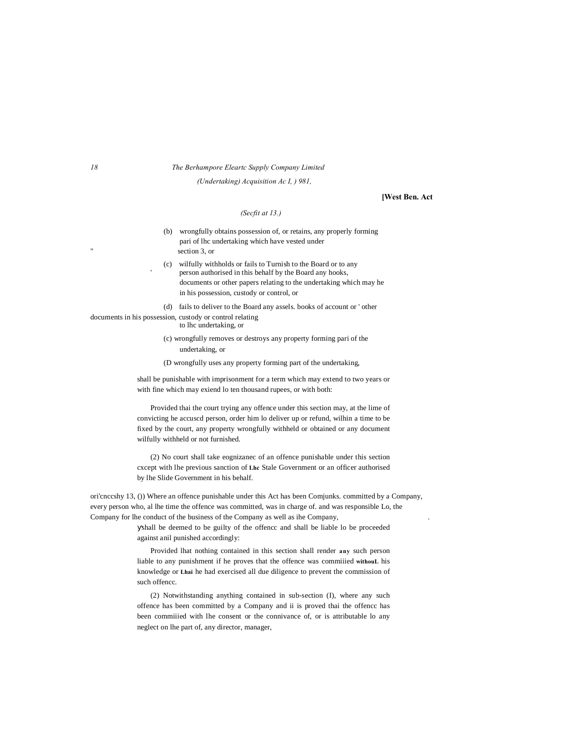#### *18 The Berhampore Eleartc Supply Company Limited*

*(Undertaking) Acquisition Ac I, ) 981,*

# **[West Ben. Act**

## *(Secfit at 13.)*

(b) wrongfully obtains possession of, or retains, any properly forming pari of lhc undertaking which have vested under section 3, or

(c) wilfully withholds or fails to Turnish to the Board or to any person authorised in this behalf by the Board any hooks, documents or other papers relating to the undertaking which may he in his possession, custody or control, or

(d) fails to deliver to the Board any assels. books of account or ' other documents in his possession, custody or control relating

to lhc undertaking, or

'

(c) wrongfully removes or destroys any property forming pari of the undertaking, or

(D wrongfully uses any property forming part of the undertaking,

shall be punishable with imprisonment for a term which may extend to two years or with fine which may exiend lo ten thousand rupees, or with both:

Provided thai the court trying any offence under this section may, at the lime of convicting he accuscd person, order him lo deliver up or refund, wilhin a time to be fixed by the court, any property wrongfully withheld or obtained or any document wilfully withheld or not furnished.

(2) No court shall take eognizanec of an offence punishable under this section cxcept with lhe previous sanction of **Lhc** Stale Government or an officer authorised by lhe Slide Government in his behalf.

ori'cnccshy 13, ()) Where an offence punishable under this Act has been Comjunks. committed by a Company, every person who, al lhe time the offence was committed, was in charge of. and was responsible Lo, the Company for lhe conduct of the business of the Company as well as ihe Company, .

> shall be deemed to be guilty of the offencc and shall be liable lo be proceeded against anil punished accordingly:

> Provided lhat nothing contained in this section shall render **any** such person liable to any punishment if he proves that the offence was commiiied **withouL** his knowledge or **Lhai** he had exercised all due diligence to prevent the commission of such offencc.

> (2) Notwithstanding anything contained in sub-section (I), where any such offence has been committed by a Company and ii is proved thai the offencc has been commiiied with lhe consent or the connivance of, or is attributable lo any neglect on lhe part of, any director, manager,